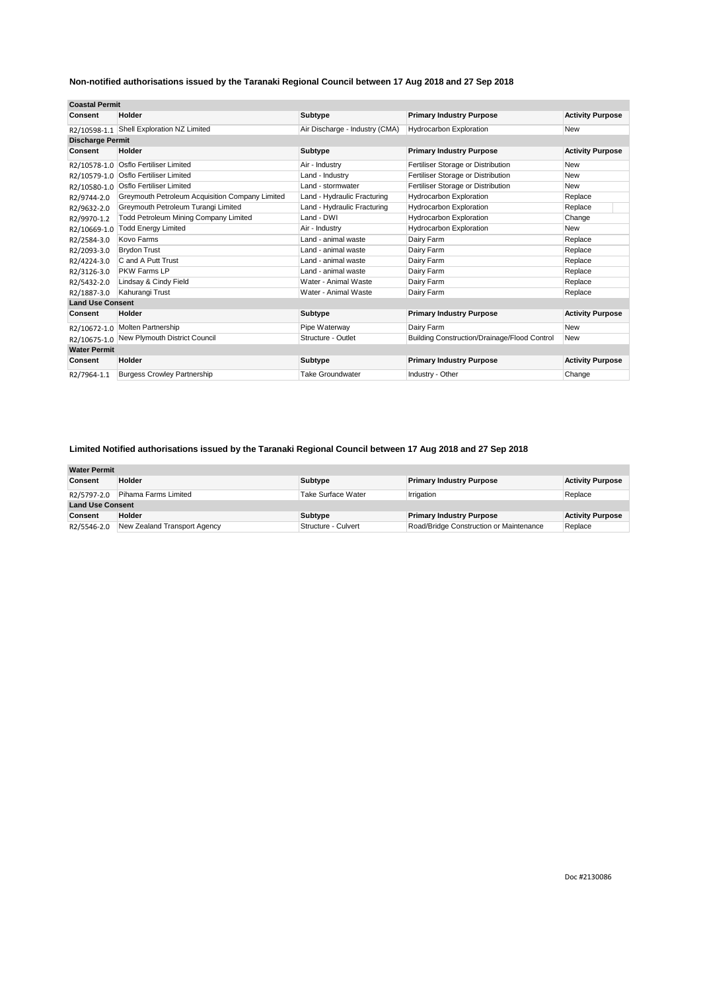| <b>Coastal Permit</b>   |                                                 |                                |                                              |                         |
|-------------------------|-------------------------------------------------|--------------------------------|----------------------------------------------|-------------------------|
| Consent                 | Holder                                          | <b>Subtype</b>                 | <b>Primary Industry Purpose</b>              | <b>Activity Purpose</b> |
| R2/10598-1.1            | Shell Exploration NZ Limited                    | Air Discharge - Industry (CMA) | <b>Hydrocarbon Exploration</b>               | New                     |
| <b>Discharge Permit</b> |                                                 |                                |                                              |                         |
| Consent                 | Holder                                          | <b>Subtype</b>                 | <b>Primary Industry Purpose</b>              | <b>Activity Purpose</b> |
| R2/10578-1.0            | <b>Osflo Fertiliser Limited</b>                 | Air - Industry                 | Fertiliser Storage or Distribution           | New                     |
| R2/10579-1.0            | Osflo Fertiliser Limited                        | Land - Industry                | Fertiliser Storage or Distribution           | New                     |
| R2/10580-1.0            | <b>Osflo Fertiliser Limited</b>                 | Land - stormwater              | Fertiliser Storage or Distribution           | New                     |
| R2/9744-2.0             | Greymouth Petroleum Acquisition Company Limited | Land - Hydraulic Fracturing    | <b>Hydrocarbon Exploration</b>               | Replace                 |
| R2/9632-2.0             | Greymouth Petroleum Turangi Limited             | Land - Hydraulic Fracturing    | <b>Hydrocarbon Exploration</b>               | Replace                 |
| R2/9970-1.2             | <b>Todd Petroleum Mining Company Limited</b>    | Land - DWI                     | <b>Hydrocarbon Exploration</b>               | Change                  |
| R2/10669-1.0            | <b>Todd Energy Limited</b>                      | Air - Industry                 | Hydrocarbon Exploration                      | <b>New</b>              |
| R2/2584-3.0             | Kovo Farms                                      | Land - animal waste            | Dairy Farm                                   | Replace                 |
| R2/2093-3.0             | <b>Brydon Trust</b>                             | Land - animal waste            | Dairy Farm                                   | Replace                 |
| R2/4224-3.0             | C and A Putt Trust                              | Land - animal waste            | Dairy Farm                                   | Replace                 |
| R2/3126-3.0             | PKW Farms LP                                    | Land - animal waste            | Dairy Farm                                   | Replace                 |
| R2/5432-2.0             | Lindsay & Cindy Field                           | Water - Animal Waste           | Dairy Farm                                   | Replace                 |
| R2/1887-3.0             | Kahurangi Trust                                 | Water - Animal Waste           | Dairy Farm                                   | Replace                 |
| <b>Land Use Consent</b> |                                                 |                                |                                              |                         |
| Consent                 | Holder                                          | <b>Subtype</b>                 | <b>Primary Industry Purpose</b>              | <b>Activity Purpose</b> |
| R2/10672-1.0            | <b>Molten Partnership</b>                       | Pipe Waterway                  | Dairy Farm                                   | <b>New</b>              |
| R2/10675-1.0            | New Plymouth District Council                   | Structure - Outlet             | Building Construction/Drainage/Flood Control | <b>New</b>              |
| <b>Water Permit</b>     |                                                 |                                |                                              |                         |
| Consent                 | Holder                                          | Subtype                        | <b>Primary Industry Purpose</b>              | <b>Activity Purpose</b> |
| R2/7964-1.1             | <b>Burgess Crowley Partnership</b>              | <b>Take Groundwater</b>        | Industry - Other                             | Change                  |

#### **Limited Notified authorisations issued by the Taranaki Regional Council between 17 Aug 2018 and 27 Sep 2018**

| <b>Water Permit</b>     |                              |                     |                                         |                         |
|-------------------------|------------------------------|---------------------|-----------------------------------------|-------------------------|
| Consent                 | Holder                       | Subtype             | <b>Primary Industry Purpose</b>         | <b>Activity Purpose</b> |
| R2/5797-2.0             | Pihama Farms Limited         | Take Surface Water  | Irrigation                              | Replace                 |
| <b>Land Use Consent</b> |                              |                     |                                         |                         |
| Consent                 | Holder                       | <b>Subtype</b>      | <b>Primary Industry Purpose</b>         | <b>Activity Purpose</b> |
| R2/5546-2.0             | New Zealand Transport Agency | Structure - Culvert | Road/Bridge Construction or Maintenance | Replace                 |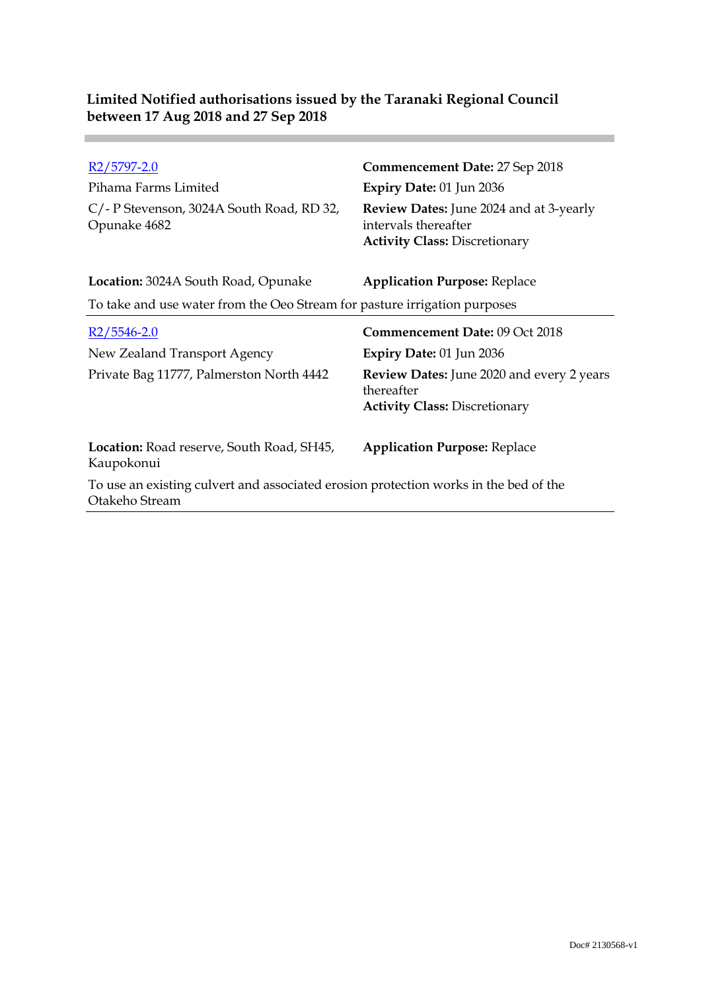| R2/5797-2.0<br>Pihama Farms Limited                                                                    | Commencement Date: 27 Sep 2018<br>Expiry Date: 01 Jun 2036                                                     |
|--------------------------------------------------------------------------------------------------------|----------------------------------------------------------------------------------------------------------------|
| C/-P Stevenson, 3024A South Road, RD 32,<br>Opunake 4682                                               | <b>Review Dates:</b> June 2024 and at 3-yearly<br>intervals thereafter<br><b>Activity Class: Discretionary</b> |
| Location: 3024A South Road, Opunake                                                                    | <b>Application Purpose: Replace</b>                                                                            |
| To take and use water from the Oeo Stream for pasture irrigation purposes                              |                                                                                                                |
| R2/5546-2.0                                                                                            | <b>Commencement Date: 09 Oct 2018</b>                                                                          |
| New Zealand Transport Agency                                                                           | <b>Expiry Date: 01 Jun 2036</b>                                                                                |
| Private Bag 11777, Palmerston North 4442                                                               | Review Dates: June 2020 and every 2 years<br>thereafter<br><b>Activity Class: Discretionary</b>                |
| <b>Location:</b> Road reserve, South Road, SH45,<br>Kaupokonui                                         | <b>Application Purpose: Replace</b>                                                                            |
| To use an existing culvert and associated erosion protection works in the bed of the<br>Otakeho Stream |                                                                                                                |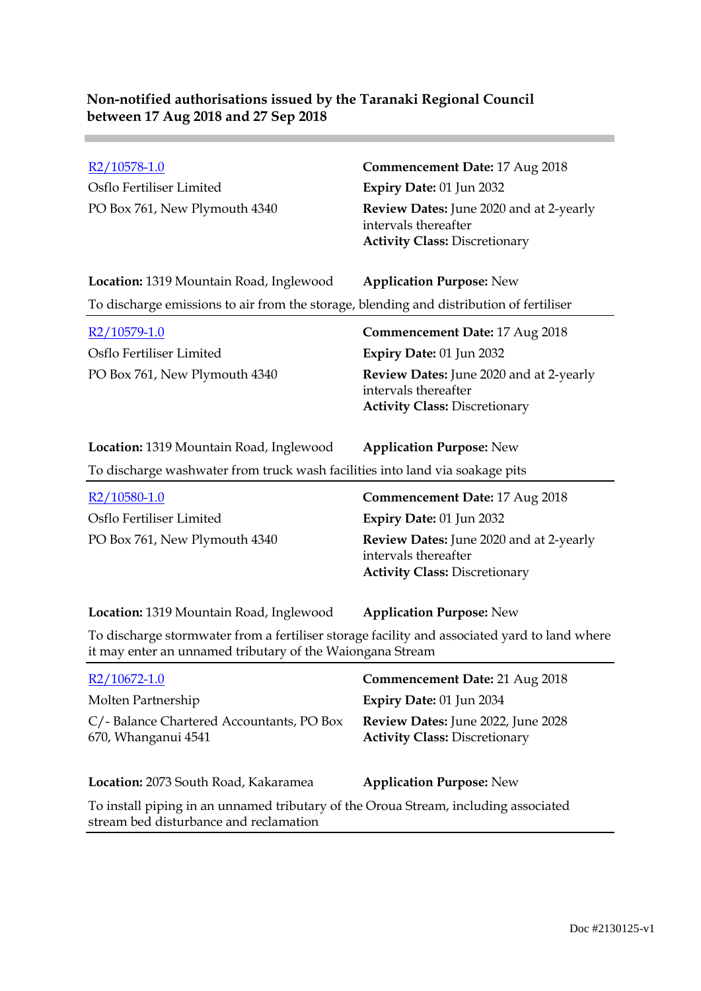Osflo Fertiliser Limited **Expiry Date:** 01 Jun 2032

# R2/10578-1.0 **Commencement Date:** 17 Aug 2018 PO Box 761, New Plymouth 4340 **Review Dates:** June 2020 and at 2-yearly intervals thereafter **Activity Class:** Discretionary

| Location: 1319 Mountain Road, Inglewood                                                 | <b>Application Purpose: New</b> |
|-----------------------------------------------------------------------------------------|---------------------------------|
| To discharge emissions to air from the storage, blending and distribution of fertiliser |                                 |

| $R2/10579-1.0$                | <b>Commencement Date: 17 Aug 2018</b>                                                                          |
|-------------------------------|----------------------------------------------------------------------------------------------------------------|
| Osflo Fertiliser Limited      | Expiry Date: $01$ Jun 2032                                                                                     |
| PO Box 761, New Plymouth 4340 | <b>Review Dates:</b> June 2020 and at 2-yearly<br>intervals thereafter<br><b>Activity Class: Discretionary</b> |

To discharge washwater from truck wash facilities into land via soakage pits

| $R2/10580-1.0$                | <b>Commencement Date: 17 Aug 2018</b>                                                                   |
|-------------------------------|---------------------------------------------------------------------------------------------------------|
| Osflo Fertiliser Limited      | <b>Expiry Date: 01 Jun 2032</b>                                                                         |
| PO Box 761, New Plymouth 4340 | Review Dates: June 2020 and at 2-yearly<br>intervals thereafter<br><b>Activity Class: Discretionary</b> |

#### **Location:** 1319 Mountain Road, Inglewood **Application Purpose:** New

To discharge stormwater from a fertiliser storage facility and associated yard to land where it may enter an unnamed tributary of the Waiongana Stream

| $R2/10672 - 1.0$                                                                                                              | Commencement Date: 21 Aug 2018                                             |
|-------------------------------------------------------------------------------------------------------------------------------|----------------------------------------------------------------------------|
| Molten Partnership                                                                                                            | Expiry Date: 01 Jun 2034                                                   |
| C/-Balance Chartered Accountants, PO Box<br>670, Whanganui 4541                                                               | Review Dates: June 2022, June 2028<br><b>Activity Class: Discretionary</b> |
| Location: 2073 South Road, Kakaramea                                                                                          | <b>Application Purpose: New</b>                                            |
| To install piping in an unnamed tributary of the Oroua Stream, including associated<br>stream bed disturbance and reclamation |                                                                            |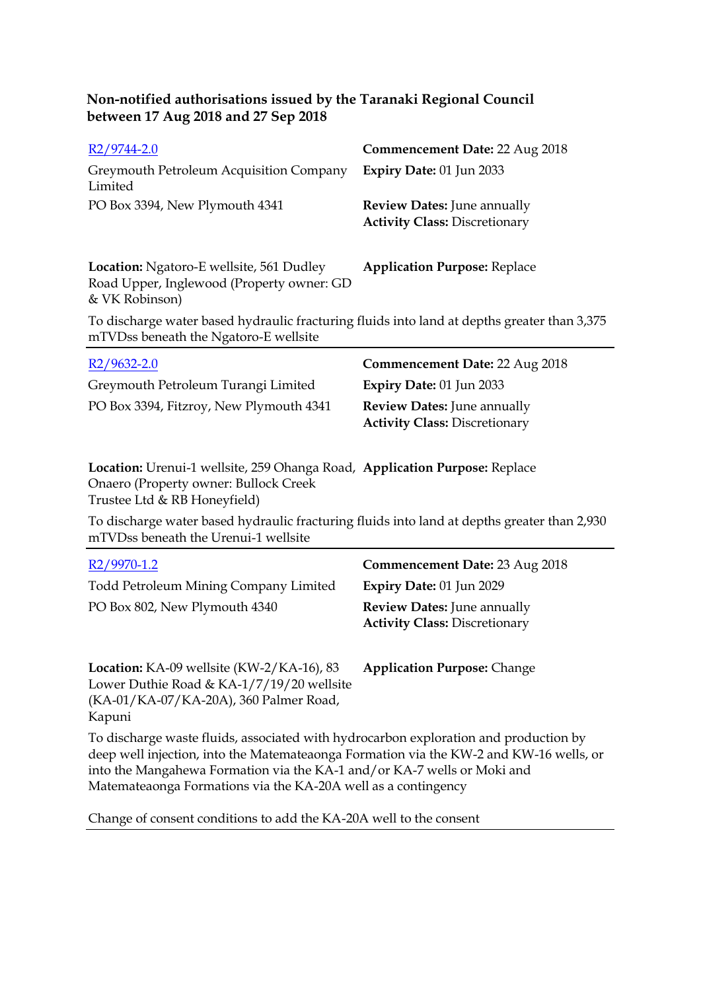| $R2/9744-2.0$                                      | Commencement Date: 22 Aug 2018                                             |
|----------------------------------------------------|----------------------------------------------------------------------------|
| Greymouth Petroleum Acquisition Company<br>Limited | Expiry Date: $01$ Jun 2033                                                 |
| PO Box 3394, New Plymouth 4341                     | <b>Review Dates:</b> June annually<br><b>Activity Class: Discretionary</b> |

**Location:** Ngatoro-E wellsite, 561 Dudley Road Upper, Inglewood (Property owner: GD & VK Robinson) **Application Purpose:** Replace

To discharge water based hydraulic fracturing fluids into land at depths greater than 3,375 mTVDss beneath the Ngatoro-E wellsite

| $R2/9632 - 2.0$                         | <b>Commencement Date: 22 Aug 2018</b> |
|-----------------------------------------|---------------------------------------|
| Greymouth Petroleum Turangi Limited     | Expiry Date: $01$ Jun 2033            |
| PO Box 3394, Fitzroy, New Plymouth 4341 | <b>Review Dates:</b> June annually    |
|                                         | <b>Activity Class: Discretionary</b>  |

**Location:** Urenui-1 wellsite, 259 Ohanga Road, **Application Purpose:** Replace Onaero (Property owner: Bullock Creek Trustee Ltd & RB Honeyfield)

To discharge water based hydraulic fracturing fluids into land at depths greater than 2,930 mTVDss beneath the Urenui-1 wellsite

| R <sub>2</sub> /9970-1.2                                                                                                                                                       | <b>Commencement Date: 23 Aug 2018</b>                                      |
|--------------------------------------------------------------------------------------------------------------------------------------------------------------------------------|----------------------------------------------------------------------------|
| <b>Todd Petroleum Mining Company Limited</b>                                                                                                                                   | <b>Expiry Date: 01 Jun 2029</b>                                            |
| PO Box 802, New Plymouth 4340                                                                                                                                                  | <b>Review Dates:</b> June annually<br><b>Activity Class: Discretionary</b> |
| Location: KA-09 wellsite (KW-2/KA-16), 83<br>Lower Duthie Road & KA-1/7/19/20 wellsite<br>(KA-01/KA-07/KA-20A), 360 Palmer Road,<br>Kapuni                                     | <b>Application Purpose: Change</b>                                         |
| To discharge waste fluids, associated with hydrocarbon exploration and production by<br>deep well injection, into the Matemateaonga Formation via the KW-2 and KW-16 wells, or |                                                                            |

into the Mangahewa Formation via the KA-1 and/or KA-7 wells or Moki and Matemateaonga Formations via the KA-20A well as a contingency

Change of consent conditions to add the KA-20A well to the consent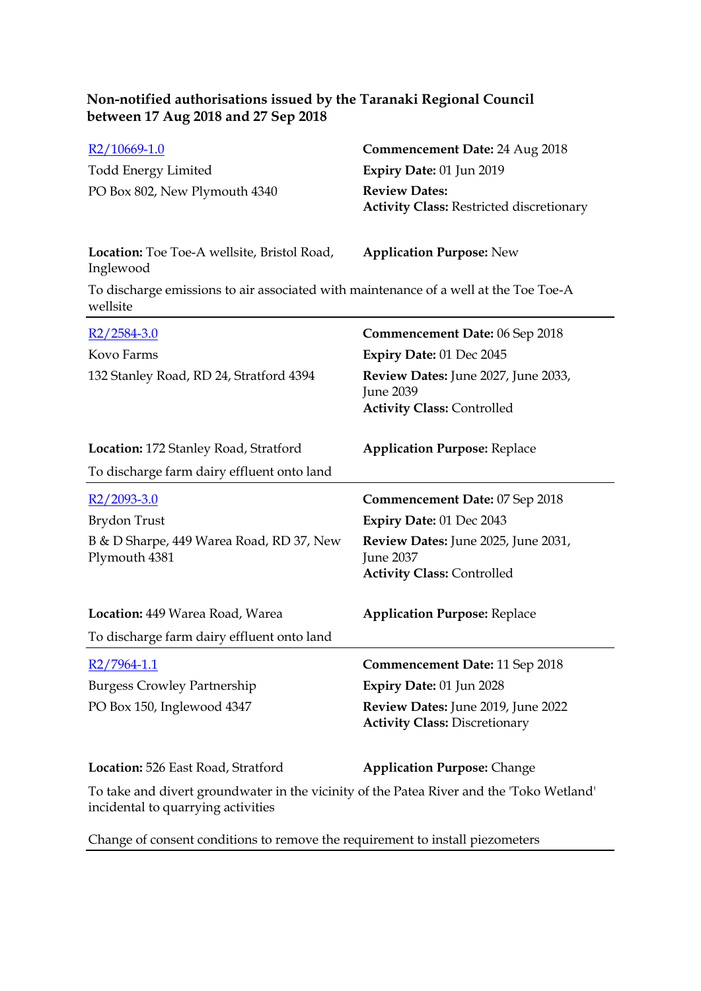| R <sub>2</sub> /10669-1.0                                                                        | <b>Commencement Date: 24 Aug 2018</b>                                                 |
|--------------------------------------------------------------------------------------------------|---------------------------------------------------------------------------------------|
| <b>Todd Energy Limited</b>                                                                       | Expiry Date: 01 Jun 2019                                                              |
| PO Box 802, New Plymouth 4340                                                                    | <b>Review Dates:</b><br><b>Activity Class: Restricted discretionary</b>               |
| Location: Toe Toe-A wellsite, Bristol Road,<br>Inglewood                                         | <b>Application Purpose: New</b>                                                       |
| To discharge emissions to air associated with maintenance of a well at the Toe Toe-A<br>wellsite |                                                                                       |
| $R2/2584-3.0$                                                                                    | <b>Commencement Date: 06 Sep 2018</b>                                                 |
| Kovo Farms                                                                                       | Expiry Date: 01 Dec 2045                                                              |
| 132 Stanley Road, RD 24, Stratford 4394                                                          | Review Dates: June 2027, June 2033,<br>June 2039<br><b>Activity Class: Controlled</b> |
| Location: 172 Stanley Road, Stratford                                                            | <b>Application Purpose: Replace</b>                                                   |
| To discharge farm dairy effluent onto land                                                       |                                                                                       |
| $R2/2093-3.0$                                                                                    | <b>Commencement Date: 07 Sep 2018</b>                                                 |
| Brydon Trust                                                                                     | Expiry Date: 01 Dec 2043                                                              |
| B & D Sharpe, 449 Warea Road, RD 37, New<br>Plymouth 4381                                        | Review Dates: June 2025, June 2031,<br>June 2037<br><b>Activity Class: Controlled</b> |
|                                                                                                  |                                                                                       |
| Location: 449 Warea Road, Warea                                                                  | <b>Application Purpose: Replace</b>                                                   |
| To discharge farm dairy effluent onto land                                                       |                                                                                       |
| R2/7964-1.1                                                                                      | <b>Commencement Date: 11 Sep 2018</b>                                                 |
|                                                                                                  | Expiry Date: 01 Jun 2028                                                              |
| <b>Burgess Crowley Partnership</b><br>PO Box 150, Inglewood 4347                                 | Review Dates: June 2019, June 2022<br><b>Activity Class: Discretionary</b>            |
| Location: 526 East Road, Stratford                                                               | <b>Application Purpose: Change</b>                                                    |

Change of consent conditions to remove the requirement to install piezometers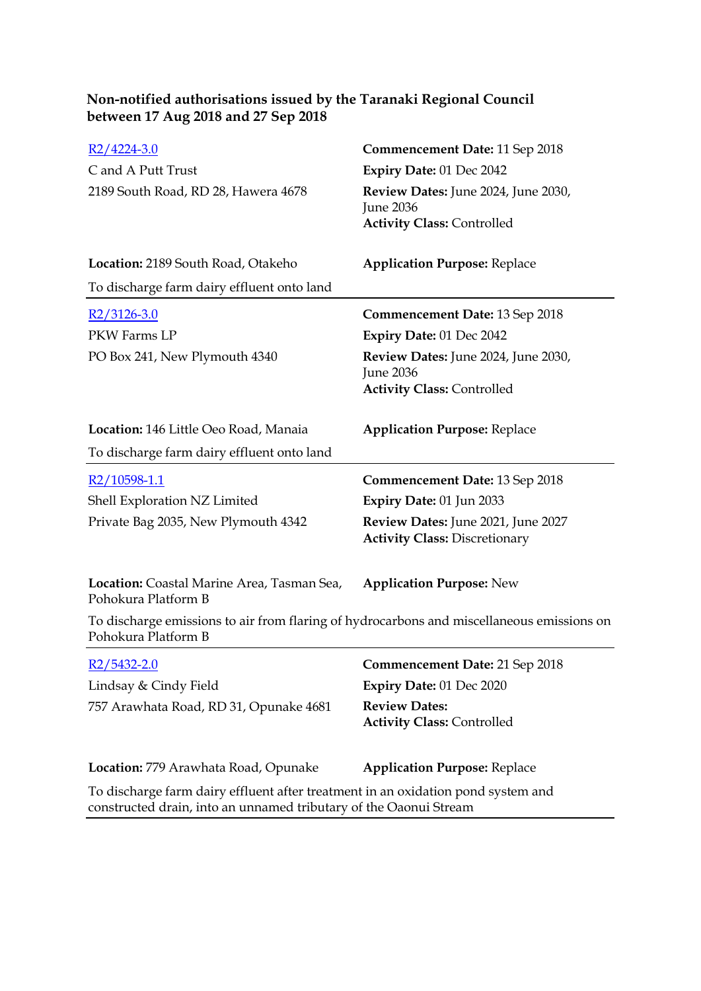| $R2/4224-3.0$                                                                                                                                         | <b>Commencement Date: 11 Sep 2018</b>                                                        |
|-------------------------------------------------------------------------------------------------------------------------------------------------------|----------------------------------------------------------------------------------------------|
| C and A Putt Trust                                                                                                                                    | Expiry Date: 01 Dec 2042                                                                     |
| 2189 South Road, RD 28, Hawera 4678                                                                                                                   | Review Dates: June 2024, June 2030,<br>June 2036<br><b>Activity Class: Controlled</b>        |
| Location: 2189 South Road, Otakeho                                                                                                                    | <b>Application Purpose: Replace</b>                                                          |
| To discharge farm dairy effluent onto land                                                                                                            |                                                                                              |
| $R2/3126-3.0$                                                                                                                                         | <b>Commencement Date: 13 Sep 2018</b>                                                        |
| PKW Farms LP                                                                                                                                          | Expiry Date: 01 Dec 2042                                                                     |
| PO Box 241, New Plymouth 4340                                                                                                                         | Review Dates: June 2024, June 2030,<br><b>June 2036</b><br><b>Activity Class: Controlled</b> |
| Location: 146 Little Oeo Road, Manaia                                                                                                                 | <b>Application Purpose: Replace</b>                                                          |
| To discharge farm dairy effluent onto land                                                                                                            |                                                                                              |
| R2/10598-1.1                                                                                                                                          | <b>Commencement Date: 13 Sep 2018</b>                                                        |
| Shell Exploration NZ Limited                                                                                                                          | Expiry Date: 01 Jun 2033                                                                     |
| Private Bag 2035, New Plymouth 4342                                                                                                                   | Review Dates: June 2021, June 2027<br><b>Activity Class: Discretionary</b>                   |
| Location: Coastal Marine Area, Tasman Sea,<br>Pohokura Platform B                                                                                     | <b>Application Purpose: New</b>                                                              |
| To discharge emissions to air from flaring of hydrocarbons and miscellaneous emissions on<br>Pohokura Platform B                                      |                                                                                              |
| $R2/5432-2.0$                                                                                                                                         | <b>Commencement Date: 21 Sep 2018</b>                                                        |
| Lindsay & Cindy Field                                                                                                                                 | Expiry Date: 01 Dec 2020                                                                     |
| 757 Arawhata Road, RD 31, Opunake 4681                                                                                                                | <b>Review Dates:</b><br><b>Activity Class: Controlled</b>                                    |
| Location: 779 Arawhata Road, Opunake                                                                                                                  | <b>Application Purpose: Replace</b>                                                          |
| To discharge farm dairy effluent after treatment in an oxidation pond system and<br>constructed drain, into an unnamed tributary of the Oaonui Stream |                                                                                              |